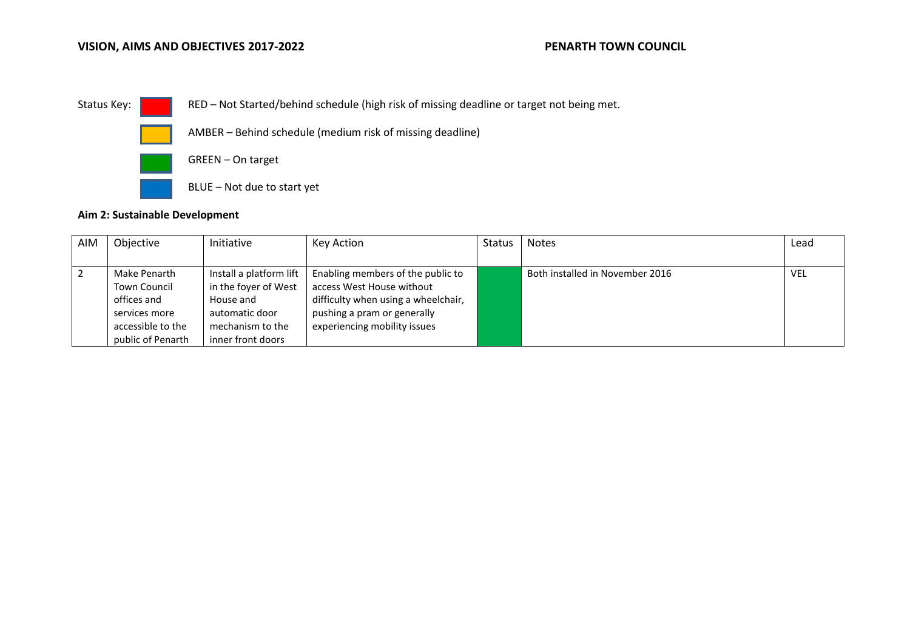### **VISION, AIMS AND OBJECTIVES 2017-2022 PENARTH TOWN COUNCIL**



Status Key: RED – Not Started/behind schedule (high risk of missing deadline or target not being met.



AMBER – Behind schedule (medium risk of missing deadline)



GREEN – On target

BLUE – Not due to start yet

### **Aim 2: Sustainable Development**

| AIM | Objective           | Initiative              | Key Action                          | Status | <b>Notes</b>                    | Lead       |
|-----|---------------------|-------------------------|-------------------------------------|--------|---------------------------------|------------|
|     |                     |                         |                                     |        |                                 |            |
|     | Make Penarth        | Install a platform lift | Enabling members of the public to   |        | Both installed in November 2016 | <b>VEL</b> |
|     | <b>Town Council</b> | in the foyer of West    | access West House without           |        |                                 |            |
|     | offices and         | House and               | difficulty when using a wheelchair, |        |                                 |            |
|     | services more       | automatic door          | pushing a pram or generally         |        |                                 |            |
|     | accessible to the   | mechanism to the        | experiencing mobility issues        |        |                                 |            |
|     | public of Penarth   | inner front doors       |                                     |        |                                 |            |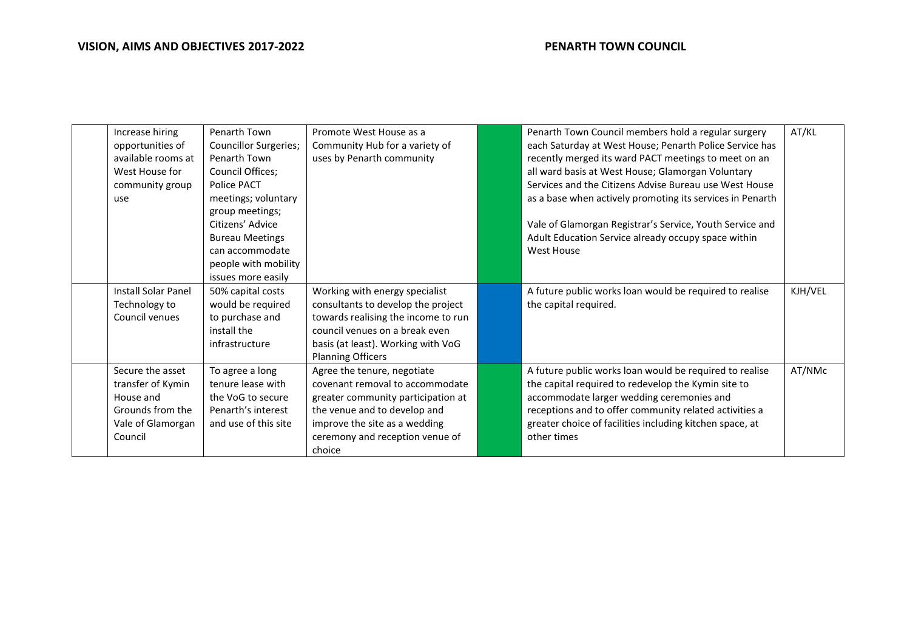| Increase hiring            | Penarth Town                 | Promote West House as a             | Penarth Town Council members hold a regular surgery       | AT/KL   |
|----------------------------|------------------------------|-------------------------------------|-----------------------------------------------------------|---------|
| opportunities of           | <b>Councillor Surgeries;</b> | Community Hub for a variety of      | each Saturday at West House; Penarth Police Service has   |         |
| available rooms at         | Penarth Town                 | uses by Penarth community           | recently merged its ward PACT meetings to meet on an      |         |
| West House for             | Council Offices;             |                                     | all ward basis at West House; Glamorgan Voluntary         |         |
| community group            | Police PACT                  |                                     | Services and the Citizens Advise Bureau use West House    |         |
| use                        | meetings; voluntary          |                                     | as a base when actively promoting its services in Penarth |         |
|                            | group meetings;              |                                     |                                                           |         |
|                            | Citizens' Advice             |                                     | Vale of Glamorgan Registrar's Service, Youth Service and  |         |
|                            | <b>Bureau Meetings</b>       |                                     | Adult Education Service already occupy space within       |         |
|                            | can accommodate              |                                     | West House                                                |         |
|                            | people with mobility         |                                     |                                                           |         |
|                            | issues more easily           |                                     |                                                           |         |
| <b>Install Solar Panel</b> | 50% capital costs            | Working with energy specialist      | A future public works loan would be required to realise   | KJH/VEL |
| Technology to              | would be required            | consultants to develop the project  | the capital required.                                     |         |
| Council venues             | to purchase and              | towards realising the income to run |                                                           |         |
|                            | install the                  | council venues on a break even      |                                                           |         |
|                            | infrastructure               | basis (at least). Working with VoG  |                                                           |         |
|                            |                              | <b>Planning Officers</b>            |                                                           |         |
| Secure the asset           | To agree a long              | Agree the tenure, negotiate         | A future public works loan would be required to realise   | AT/NMc  |
| transfer of Kymin          | tenure lease with            | covenant removal to accommodate     | the capital required to redevelop the Kymin site to       |         |
| House and                  | the VoG to secure            | greater community participation at  | accommodate larger wedding ceremonies and                 |         |
| Grounds from the           | Penarth's interest           | the venue and to develop and        | receptions and to offer community related activities a    |         |
| Vale of Glamorgan          | and use of this site         | improve the site as a wedding       | greater choice of facilities including kitchen space, at  |         |
| Council                    |                              | ceremony and reception venue of     | other times                                               |         |
|                            |                              | choice                              |                                                           |         |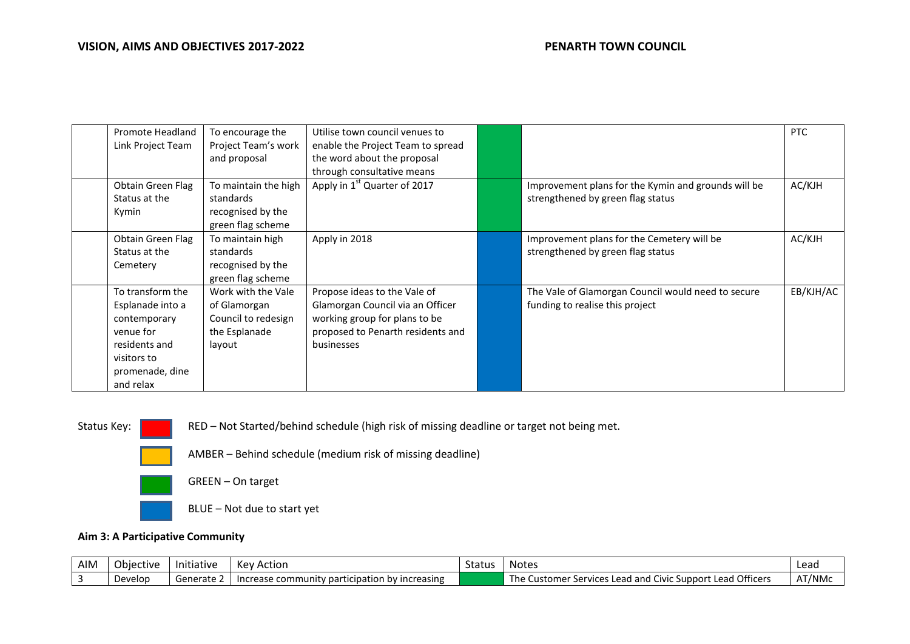| Promote Headland  | To encourage the     | Utilise town council venues to           |                                                     | <b>PTC</b> |
|-------------------|----------------------|------------------------------------------|-----------------------------------------------------|------------|
| Link Project Team | Project Team's work  | enable the Project Team to spread        |                                                     |            |
|                   | and proposal         | the word about the proposal              |                                                     |            |
|                   |                      | through consultative means               |                                                     |            |
| Obtain Green Flag | To maintain the high | Apply in 1 <sup>st</sup> Quarter of 2017 | Improvement plans for the Kymin and grounds will be | AC/KJH     |
| Status at the     | standards            |                                          | strengthened by green flag status                   |            |
| Kymin             | recognised by the    |                                          |                                                     |            |
|                   | green flag scheme    |                                          |                                                     |            |
| Obtain Green Flag | To maintain high     | Apply in 2018                            | Improvement plans for the Cemetery will be          | AC/KJH     |
| Status at the     | standards            |                                          | strengthened by green flag status                   |            |
| Cemetery          | recognised by the    |                                          |                                                     |            |
|                   | green flag scheme    |                                          |                                                     |            |
| To transform the  | Work with the Vale   | Propose ideas to the Vale of             | The Vale of Glamorgan Council would need to secure  | EB/KJH/AC  |
| Esplanade into a  | of Glamorgan         | Glamorgan Council via an Officer         | funding to realise this project                     |            |
| contemporary      | Council to redesign  | working group for plans to be            |                                                     |            |
| venue for         | the Esplanade        | proposed to Penarth residents and        |                                                     |            |
| residents and     | layout               | businesses                               |                                                     |            |
| visitors to       |                      |                                          |                                                     |            |
| promenade, dine   |                      |                                          |                                                     |            |
| and relax         |                      |                                          |                                                     |            |

Status Key: RED – Not Started/behind schedule (high risk of missing deadline or target not being met.



AMBER – Behind schedule (medium risk of missing deadline)

GREEN – On target

BLUE – Not due to start yet

### **Aim 3: A Participative Community**

| AIM | Objective | .<br>Initiative | Kev Action                                       | Status | Notes                                                                               | Lead   |
|-----|-----------|-----------------|--------------------------------------------------|--------|-------------------------------------------------------------------------------------|--------|
|     | Develop   | ∟ Generate      | - Increase community participation by increasing |        | r Services Lead and Civic Support Lead Officers<br>The $\overline{a}$<br>Customer S | AT/NMc |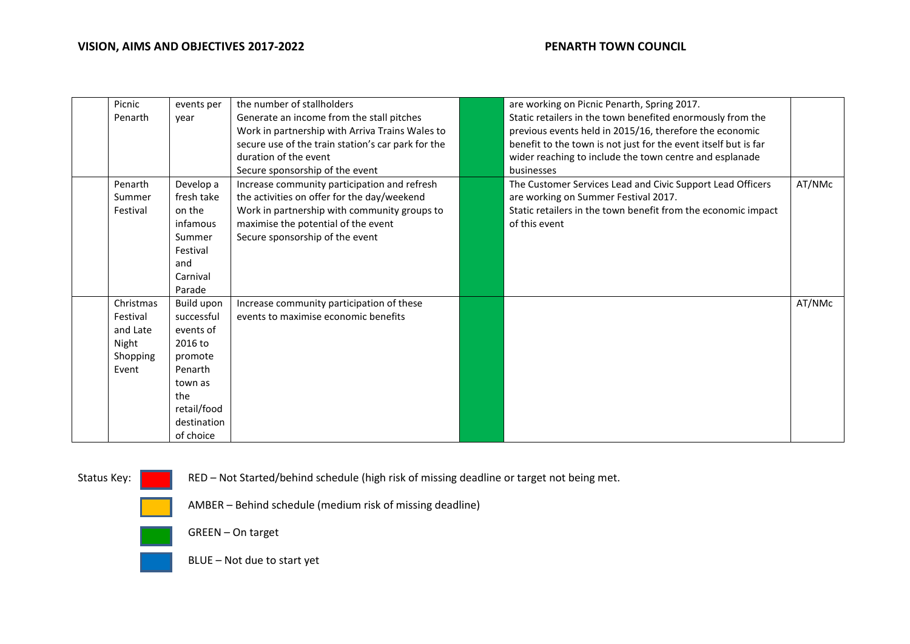| Picnic    | events per  | the number of stallholders                         | are working on Picnic Penarth, Spring 2017.                     |        |
|-----------|-------------|----------------------------------------------------|-----------------------------------------------------------------|--------|
| Penarth   | year        | Generate an income from the stall pitches          | Static retailers in the town benefited enormously from the      |        |
|           |             | Work in partnership with Arriva Trains Wales to    | previous events held in 2015/16, therefore the economic         |        |
|           |             | secure use of the train station's car park for the | benefit to the town is not just for the event itself but is far |        |
|           |             | duration of the event                              | wider reaching to include the town centre and esplanade         |        |
|           |             | Secure sponsorship of the event                    | businesses                                                      |        |
| Penarth   | Develop a   | Increase community participation and refresh       | The Customer Services Lead and Civic Support Lead Officers      | AT/NMc |
| Summer    | fresh take  | the activities on offer for the day/weekend        | are working on Summer Festival 2017.                            |        |
| Festival  | on the      | Work in partnership with community groups to       | Static retailers in the town benefit from the economic impact   |        |
|           | infamous    | maximise the potential of the event                | of this event                                                   |        |
|           | Summer      | Secure sponsorship of the event                    |                                                                 |        |
|           | Festival    |                                                    |                                                                 |        |
|           | and         |                                                    |                                                                 |        |
|           | Carnival    |                                                    |                                                                 |        |
|           | Parade      |                                                    |                                                                 |        |
| Christmas | Build upon  | Increase community participation of these          |                                                                 | AT/NMc |
| Festival  | successful  | events to maximise economic benefits               |                                                                 |        |
| and Late  | events of   |                                                    |                                                                 |        |
| Night     | 2016 to     |                                                    |                                                                 |        |
| Shopping  | promote     |                                                    |                                                                 |        |
| Event     | Penarth     |                                                    |                                                                 |        |
|           | town as     |                                                    |                                                                 |        |
|           | the         |                                                    |                                                                 |        |
|           | retail/food |                                                    |                                                                 |        |
|           | destination |                                                    |                                                                 |        |
|           | of choice   |                                                    |                                                                 |        |

Status Key: RED – Not Started/behind schedule (high risk of missing deadline or target not being met.

AMBER – Behind schedule (medium risk of missing deadline)





BLUE – Not due to start yet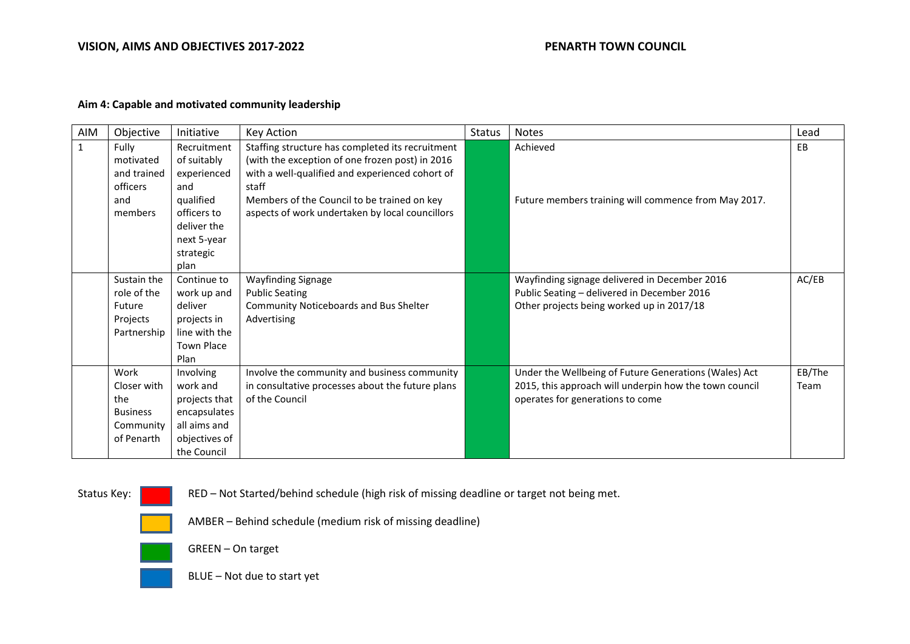### **VISION, AIMS AND OBJECTIVES 2017-2022 PENARTH TOWN COUNCIL**

# **Aim 4: Capable and motivated community leadership**

| AIM          | Objective                                                                | Initiative                                                                                                                      | Key Action                                                                                                                                                                                                                                                        | <b>Status</b> | <b>Notes</b>                                                                                                                                        | Lead           |
|--------------|--------------------------------------------------------------------------|---------------------------------------------------------------------------------------------------------------------------------|-------------------------------------------------------------------------------------------------------------------------------------------------------------------------------------------------------------------------------------------------------------------|---------------|-----------------------------------------------------------------------------------------------------------------------------------------------------|----------------|
| $\mathbf{1}$ | Fully<br>motivated<br>and trained<br>officers<br>and<br>members          | Recruitment<br>of suitably<br>experienced<br>and<br>qualified<br>officers to<br>deliver the<br>next 5-year<br>strategic<br>plan | Staffing structure has completed its recruitment<br>(with the exception of one frozen post) in 2016<br>with a well-qualified and experienced cohort of<br>staff<br>Members of the Council to be trained on key<br>aspects of work undertaken by local councillors |               | Achieved<br>Future members training will commence from May 2017.                                                                                    | EB             |
|              | Sustain the<br>role of the<br>Future<br>Projects<br>Partnership          | Continue to<br>work up and<br>deliver<br>projects in<br>line with the<br><b>Town Place</b><br>Plan                              | <b>Wayfinding Signage</b><br><b>Public Seating</b><br>Community Noticeboards and Bus Shelter<br>Advertising                                                                                                                                                       |               | Wayfinding signage delivered in December 2016<br>Public Seating - delivered in December 2016<br>Other projects being worked up in 2017/18           | AC/EB          |
|              | Work<br>Closer with<br>the<br><b>Business</b><br>Community<br>of Penarth | Involving<br>work and<br>projects that<br>encapsulates<br>all aims and<br>objectives of<br>the Council                          | Involve the community and business community<br>in consultative processes about the future plans<br>of the Council                                                                                                                                                |               | Under the Wellbeing of Future Generations (Wales) Act<br>2015, this approach will underpin how the town council<br>operates for generations to come | EB/The<br>Team |

Status Key: RED – Not Started/behind schedule (high risk of missing deadline or target not being met.

AMBER – Behind schedule (medium risk of missing deadline)



GREEN – On target



BLUE – Not due to start yet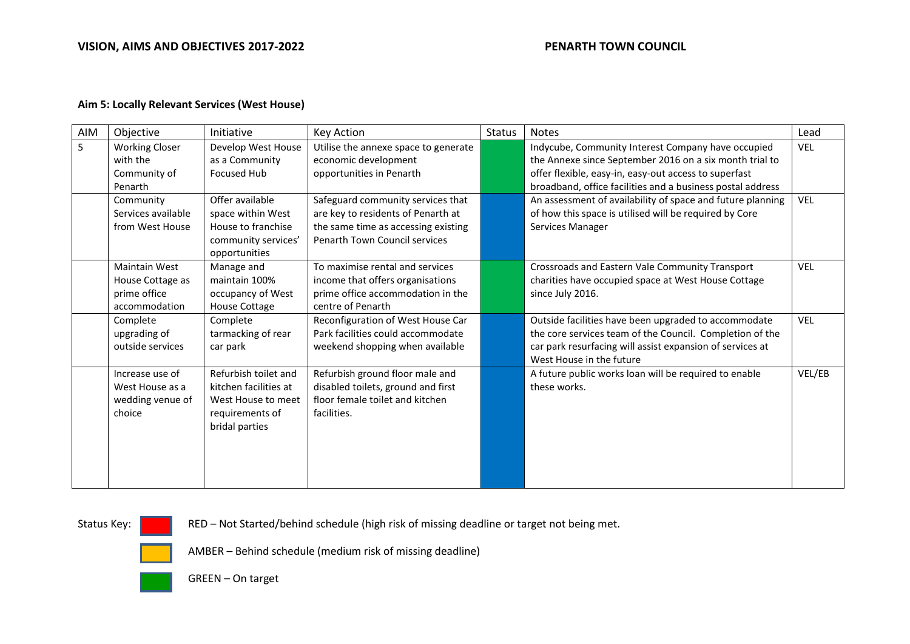### **VISION, AIMS AND OBJECTIVES 2017-2022 PENARTH TOWN COUNCIL**

### **Aim 5: Locally Relevant Services (West House)**

| AIM | Objective             | Initiative            | Key Action                           | <b>Status</b> | <b>Notes</b>                                               | Lead       |
|-----|-----------------------|-----------------------|--------------------------------------|---------------|------------------------------------------------------------|------------|
| 5   | <b>Working Closer</b> | Develop West House    | Utilise the annexe space to generate |               | Indycube, Community Interest Company have occupied         | <b>VEL</b> |
|     | with the              | as a Community        | economic development                 |               | the Annexe since September 2016 on a six month trial to    |            |
|     | Community of          | <b>Focused Hub</b>    | opportunities in Penarth             |               | offer flexible, easy-in, easy-out access to superfast      |            |
|     | Penarth               |                       |                                      |               | broadband, office facilities and a business postal address |            |
|     | Community             | Offer available       | Safeguard community services that    |               | An assessment of availability of space and future planning | <b>VEL</b> |
|     | Services available    | space within West     | are key to residents of Penarth at   |               | of how this space is utilised will be required by Core     |            |
|     | from West House       | House to franchise    | the same time as accessing existing  |               | Services Manager                                           |            |
|     |                       | community services'   | Penarth Town Council services        |               |                                                            |            |
|     |                       | opportunities         |                                      |               |                                                            |            |
|     | <b>Maintain West</b>  | Manage and            | To maximise rental and services      |               | Crossroads and Eastern Vale Community Transport            | <b>VEL</b> |
|     | House Cottage as      | maintain 100%         | income that offers organisations     |               | charities have occupied space at West House Cottage        |            |
|     | prime office          | occupancy of West     | prime office accommodation in the    |               | since July 2016.                                           |            |
|     | accommodation         | <b>House Cottage</b>  | centre of Penarth                    |               |                                                            |            |
|     | Complete              | Complete              | Reconfiguration of West House Car    |               | Outside facilities have been upgraded to accommodate       | <b>VEL</b> |
|     | upgrading of          | tarmacking of rear    | Park facilities could accommodate    |               | the core services team of the Council. Completion of the   |            |
|     | outside services      | car park              | weekend shopping when available      |               | car park resurfacing will assist expansion of services at  |            |
|     |                       |                       |                                      |               | West House in the future                                   |            |
|     | Increase use of       | Refurbish toilet and  | Refurbish ground floor male and      |               | A future public works loan will be required to enable      | VEL/EB     |
|     | West House as a       | kitchen facilities at | disabled toilets, ground and first   |               | these works.                                               |            |
|     | wedding venue of      | West House to meet    | floor female toilet and kitchen      |               |                                                            |            |
|     | choice                | requirements of       | facilities.                          |               |                                                            |            |
|     |                       | bridal parties        |                                      |               |                                                            |            |
|     |                       |                       |                                      |               |                                                            |            |
|     |                       |                       |                                      |               |                                                            |            |
|     |                       |                       |                                      |               |                                                            |            |
|     |                       |                       |                                      |               |                                                            |            |

Status Key: RED – Not Started/behind schedule (high risk of missing deadline or target not being met.



AMBER – Behind schedule (medium risk of missing deadline)



GREEN – On target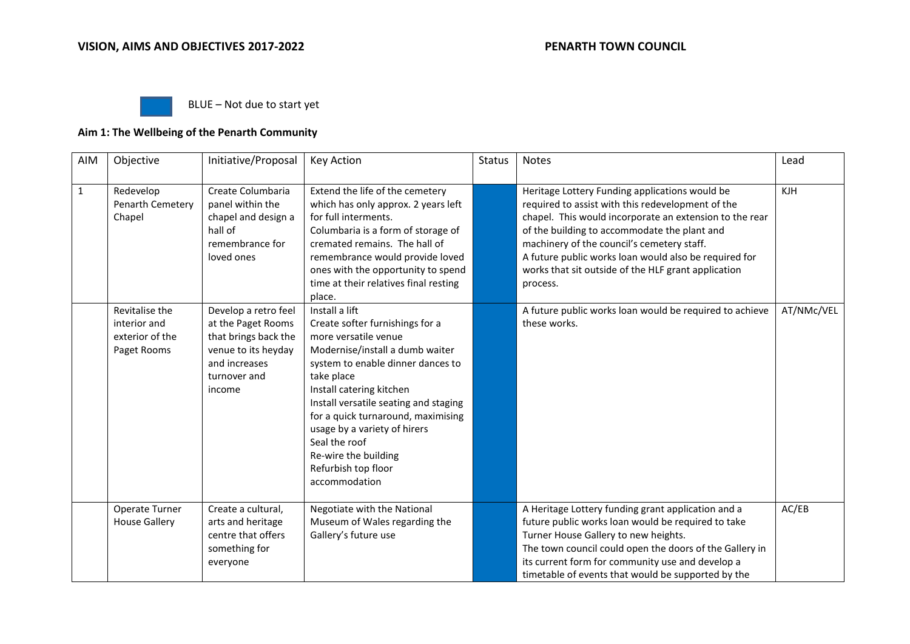

BLUE – Not due to start yet

# **Aim 1: The Wellbeing of the Penarth Community**

| AIM          | Objective                                                        | Initiative/Proposal                                                                                                                  | <b>Key Action</b>                                                                                                                                                                                                                                                                                                                                                                           | <b>Status</b> | <b>Notes</b>                                                                                                                                                                                                                                                                                                                                                                             | Lead       |
|--------------|------------------------------------------------------------------|--------------------------------------------------------------------------------------------------------------------------------------|---------------------------------------------------------------------------------------------------------------------------------------------------------------------------------------------------------------------------------------------------------------------------------------------------------------------------------------------------------------------------------------------|---------------|------------------------------------------------------------------------------------------------------------------------------------------------------------------------------------------------------------------------------------------------------------------------------------------------------------------------------------------------------------------------------------------|------------|
| $\mathbf{1}$ | Redevelop<br>Penarth Cemetery<br>Chapel                          | Create Columbaria<br>panel within the<br>chapel and design a<br>hall of<br>remembrance for<br>loved ones                             | Extend the life of the cemetery<br>which has only approx. 2 years left<br>for full interments.<br>Columbaria is a form of storage of<br>cremated remains. The hall of<br>remembrance would provide loved<br>ones with the opportunity to spend<br>time at their relatives final resting<br>place.                                                                                           |               | Heritage Lottery Funding applications would be<br>required to assist with this redevelopment of the<br>chapel. This would incorporate an extension to the rear<br>of the building to accommodate the plant and<br>machinery of the council's cemetery staff.<br>A future public works loan would also be required for<br>works that sit outside of the HLF grant application<br>process. | <b>KJH</b> |
|              | Revitalise the<br>interior and<br>exterior of the<br>Paget Rooms | Develop a retro feel<br>at the Paget Rooms<br>that brings back the<br>venue to its heyday<br>and increases<br>turnover and<br>income | Install a lift<br>Create softer furnishings for a<br>more versatile venue<br>Modernise/install a dumb waiter<br>system to enable dinner dances to<br>take place<br>Install catering kitchen<br>Install versatile seating and staging<br>for a quick turnaround, maximising<br>usage by a variety of hirers<br>Seal the roof<br>Re-wire the building<br>Refurbish top floor<br>accommodation |               | A future public works loan would be required to achieve<br>these works.                                                                                                                                                                                                                                                                                                                  | AT/NMc/VEL |
|              | Operate Turner<br><b>House Gallery</b>                           | Create a cultural,<br>arts and heritage<br>centre that offers<br>something for<br>everyone                                           | Negotiate with the National<br>Museum of Wales regarding the<br>Gallery's future use                                                                                                                                                                                                                                                                                                        |               | A Heritage Lottery funding grant application and a<br>future public works loan would be required to take<br>Turner House Gallery to new heights.<br>The town council could open the doors of the Gallery in<br>its current form for community use and develop a<br>timetable of events that would be supported by the                                                                    | AC/EB      |